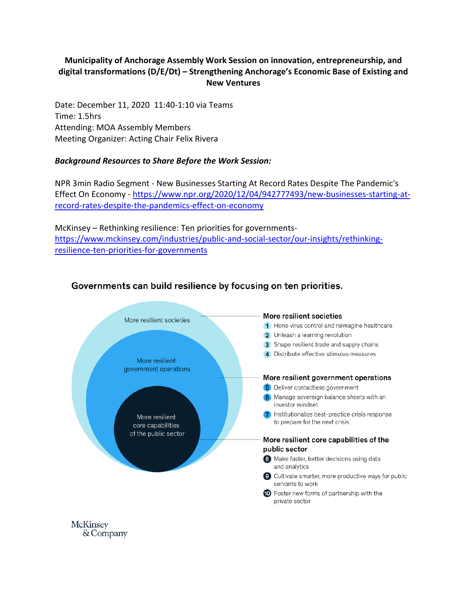## **Municipality of Anchorage Assembly Work Session on innovation, entrepreneurship, and digital transformations (D/E/Dt) – Strengthening Anchorage's Economic Base of Existing and New Ventures**

Date: December 11, 2020 11:40-1:10 via Teams Time: 1.5hrs Attending: MOA Assembly Members Meeting Organizer: Acting Chair Felix Rivera

## *Background Resources to Share Before the Work Session:*

NPR 3min Radio Segment - New Businesses Starting At Record Rates Despite The Pandemic's Effect On Economy - [https://www.npr.org/2020/12/04/942777493/new-businesses-starting-at](https://www.npr.org/2020/12/04/942777493/new-businesses-starting-at-record-rates-despite-the-pandemics-effect-on-economy)[record-rates-despite-the-pandemics-effect-on-economy](https://www.npr.org/2020/12/04/942777493/new-businesses-starting-at-record-rates-despite-the-pandemics-effect-on-economy)

McKinsey – Rethinking resilience: Ten priorities for governments[https://www.mckinsey.com/industries/public-and-social-sector/our-insights/rethinking](https://www.mckinsey.com/industries/public-and-social-sector/our-insights/rethinking-resilience-ten-priorities-for-governments)[resilience-ten-priorities-for-governments](https://www.mckinsey.com/industries/public-and-social-sector/our-insights/rethinking-resilience-ten-priorities-for-governments)



## Governments can build resilience by focusing on ten priorities.

& Company